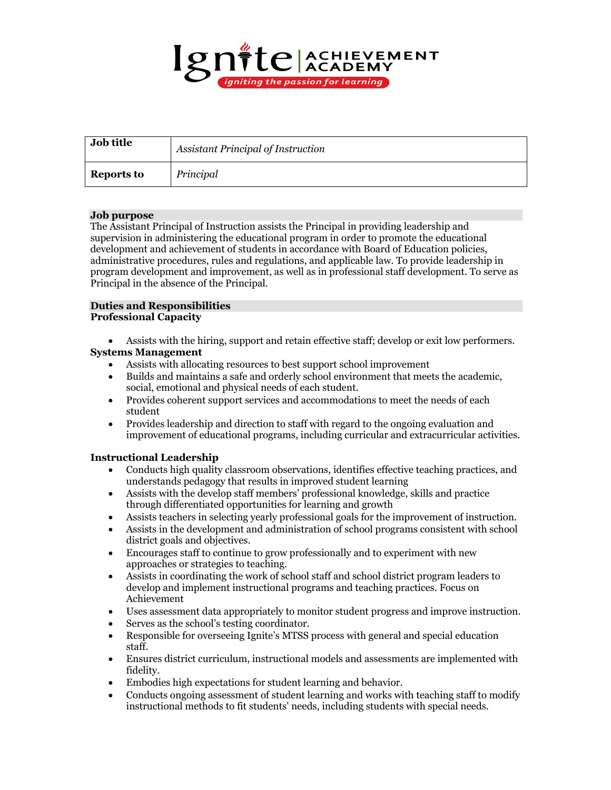

| Job title         | <b>Assistant Principal of Instruction</b> |
|-------------------|-------------------------------------------|
| <b>Reports to</b> | Principal                                 |

## **Job purpose**

The Assistant Principal of Instruction assists the Principal in providing leadership and supervision in administering the educational program in order to promote the educational development and achievement of students in accordance with Board of Education policies, administrative procedures, rules and regulations, and applicable law. To provide leadership in program development and improvement, as well as in professional staff development. To serve as Principal in the absence of the Principal.

## **Duties and Responsibilities Professional Capacity**

- Assists with the hiring, support and retain effective staff; develop or exit low performers. **Systems Management**
	- Assists with allocating resources to best support school improvement
	- Builds and maintains a safe and orderly school environment that meets the academic, social, emotional and physical needs of each student.
	- Provides coherent support services and accommodations to meet the needs of each student
	- Provides leadership and direction to staff with regard to the ongoing evaluation and improvement of educational programs, including curricular and extracurricular activities.

# **Instructional Leadership**

- Conducts high quality classroom observations, identifies effective teaching practices, and understands pedagogy that results in improved student learning
- Assists with the develop staff members' professional knowledge, skills and practice through differentiated opportunities for learning and growth
- Assists teachers in selecting yearly professional goals for the improvement of instruction.
- Assists in the development and administration of school programs consistent with school district goals and objectives.
- Encourages staff to continue to grow professionally and to experiment with new approaches or strategies to teaching.
- Assists in coordinating the work of school staff and school district program leaders to develop and implement instructional programs and teaching practices. Focus on Achievement
- Uses assessment data appropriately to monitor student progress and improve instruction.
- Serves as the school's testing coordinator.
- Responsible for overseeing Ignite's MTSS process with general and special education staff.
- Ensures district curriculum, instructional models and assessments are implemented with fidelity.
- Embodies high expectations for student learning and behavior.
- Conducts ongoing assessment of student learning and works with teaching staff to modify instructional methods to fit students' needs, including students with special needs.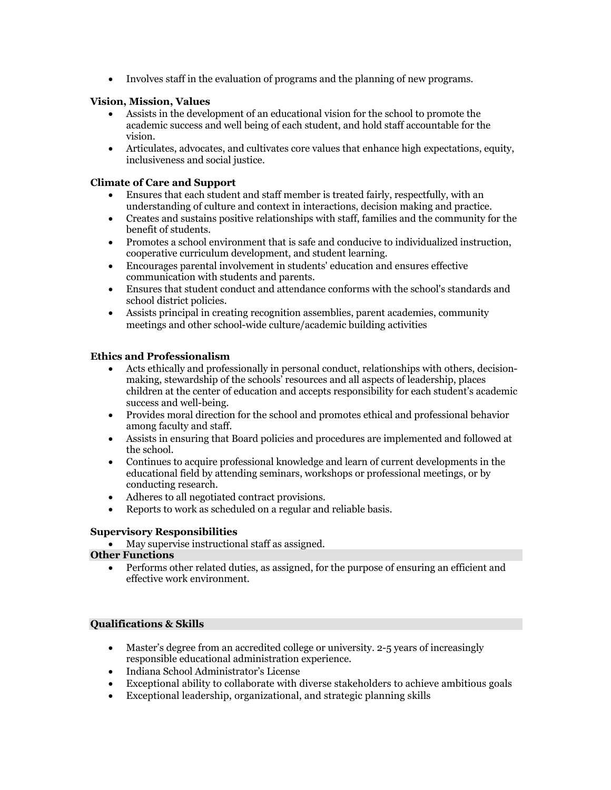• Involves staff in the evaluation of programs and the planning of new programs.

## **Vision, Mission, Values**

- Assists in the development of an educational vision for the school to promote the academic success and well being of each student, and hold staff accountable for the vision.
- Articulates, advocates, and cultivates core values that enhance high expectations, equity, inclusiveness and social justice.

## **Climate of Care and Support**

- Ensures that each student and staff member is treated fairly, respectfully, with an understanding of culture and context in interactions, decision making and practice.
- Creates and sustains positive relationships with staff, families and the community for the benefit of students.
- Promotes a school environment that is safe and conducive to individualized instruction, cooperative curriculum development, and student learning.
- Encourages parental involvement in students' education and ensures effective communication with students and parents.
- Ensures that student conduct and attendance conforms with the school's standards and school district policies.
- Assists principal in creating recognition assemblies, parent academies, community meetings and other school-wide culture/academic building activities

## **Ethics and Professionalism**

- Acts ethically and professionally in personal conduct, relationships with others, decisionmaking, stewardship of the schools' resources and all aspects of leadership, places children at the center of education and accepts responsibility for each student's academic success and well-being.
- Provides moral direction for the school and promotes ethical and professional behavior among faculty and staff.
- Assists in ensuring that Board policies and procedures are implemented and followed at the school.
- Continues to acquire professional knowledge and learn of current developments in the educational field by attending seminars, workshops or professional meetings, or by conducting research.
- Adheres to all negotiated contract provisions.
- Reports to work as scheduled on a regular and reliable basis.

## **Supervisory Responsibilities**

• May supervise instructional staff as assigned.

## **Other Functions**

• Performs other related duties, as assigned, for the purpose of ensuring an efficient and effective work environment.

## **Qualifications & Skills**

- Master's degree from an accredited college or university. 2-5 years of increasingly responsible educational administration experience.
- Indiana School Administrator's License
- Exceptional ability to collaborate with diverse stakeholders to achieve ambitious goals
- Exceptional leadership, organizational, and strategic planning skills